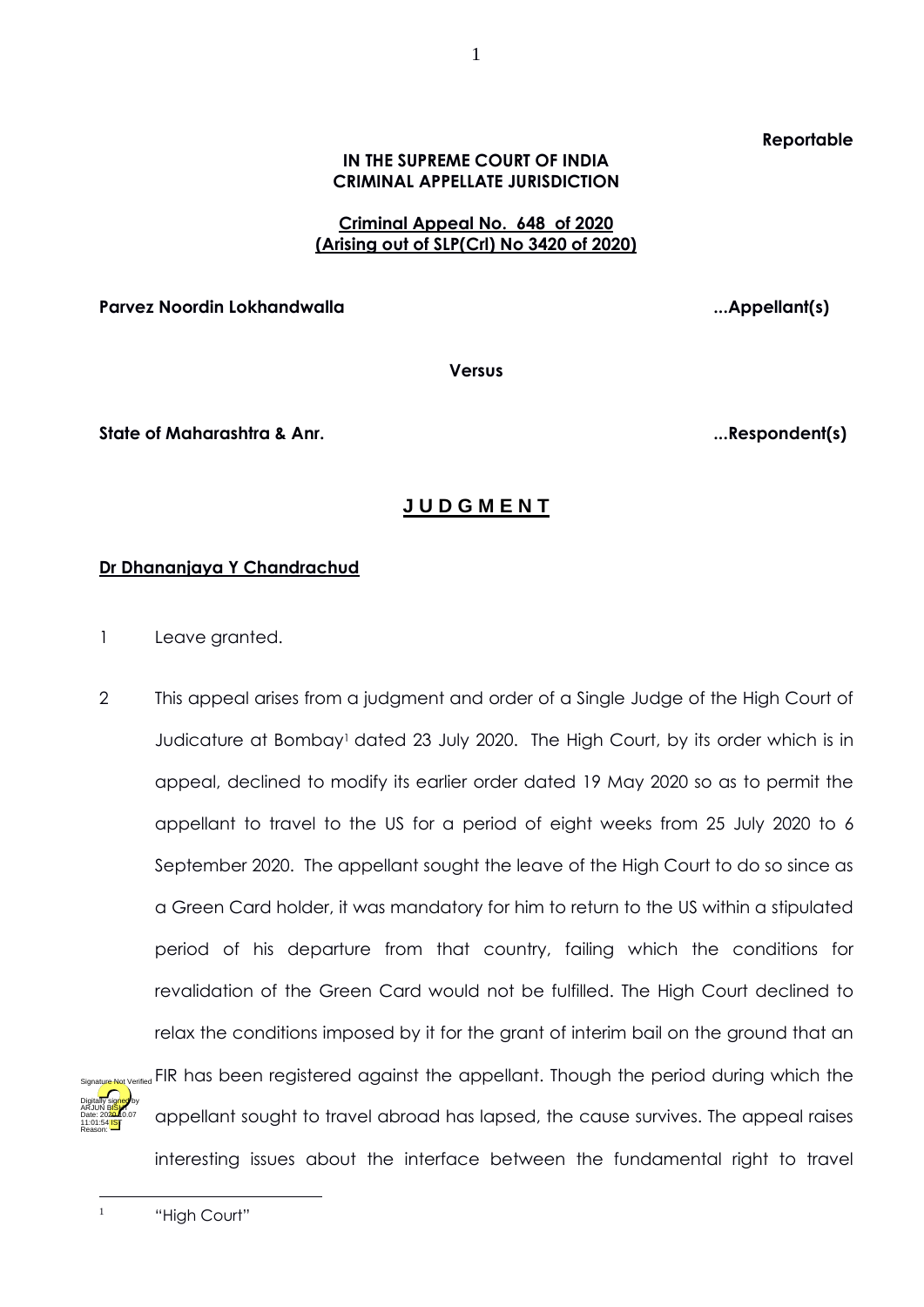### **Reportable**

### **IN THE SUPREME COURT OF INDIA CRIMINAL APPELLATE JURISDICTION**

1

### **Criminal Appeal No. 648 of 2020 (Arising out of SLP(Crl) No 3420 of 2020)**

**Parvez Noordin Lokhandwalla ...Appellant(s)**

**Versus**

**State of Maharashtra & Anr. ...Respondent(s)**

# **J U D G M E N T**

## **Dr Dhananjaya Y Chandrachud**

- 1 Leave granted.
- 2 This appeal arises from a judgment and order of a Single Judge of the High Court of Judicature at Bombay<sup>1</sup> dated 23 July 2020. The High Court, by its order which is in appeal, declined to modify its earlier order dated 19 May 2020 so as to permit the appellant to travel to the US for a period of eight weeks from 25 July 2020 to 6 September 2020. The appellant sought the leave of the High Court to do so since as a Green Card holder, it was mandatory for him to return to the US within a stipulated period of his departure from that country, failing which the conditions for revalidation of the Green Card would not be fulfilled. The High Court declined to relax the conditions imposed by it for the grant of interim bail on the ground that an FIR has been registered against the appellant. Though the period during which the appellant sought to travel abroad has lapsed, the cause survives. The appeal raises interesting issues about the interface between the fundamental right to travel Digitally signed by arjun B<mark>ish</mark>t Date: 2020.10.07 11:01:54 IST Reason: Signature Not Verified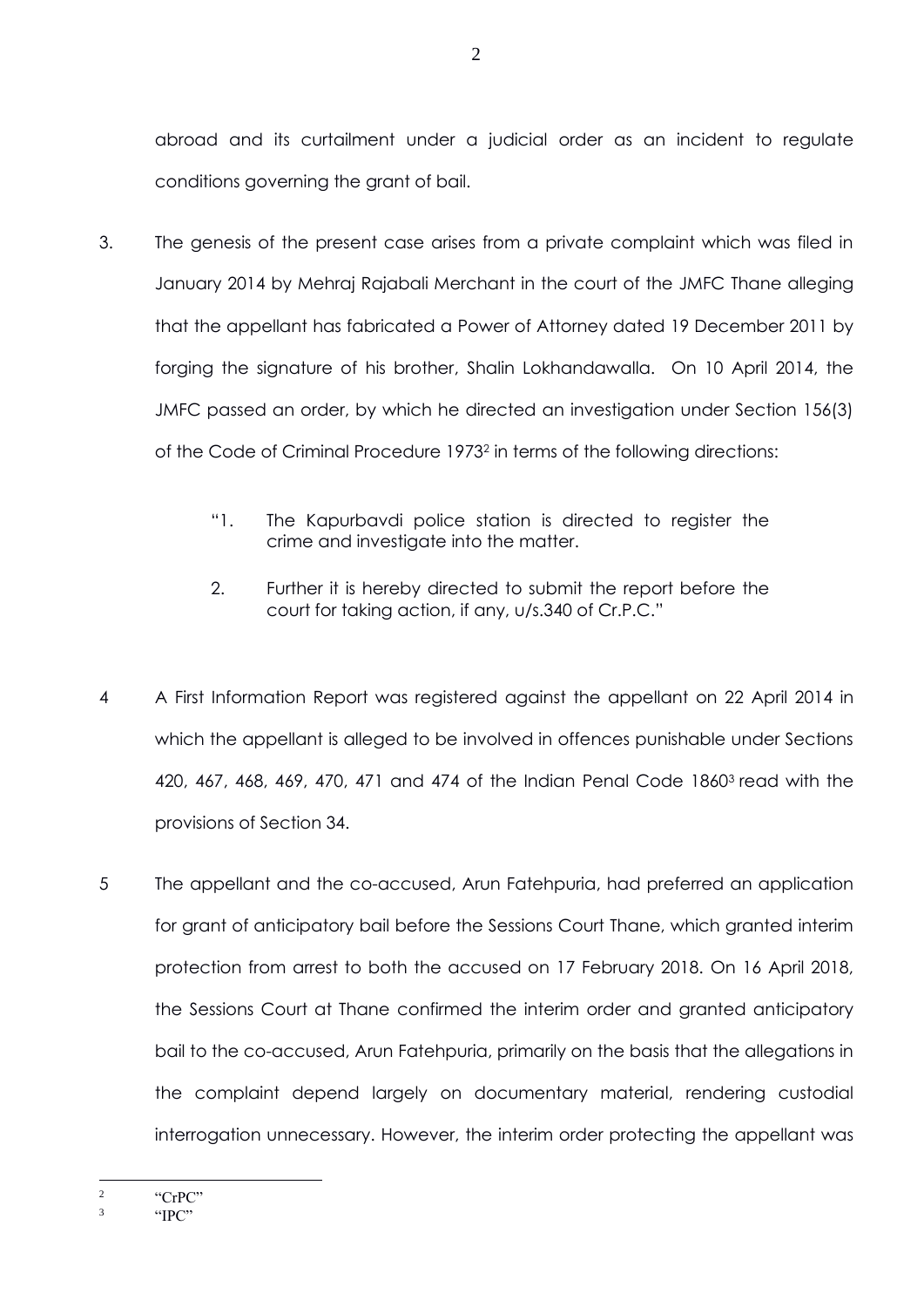abroad and its curtailment under a judicial order as an incident to regulate conditions governing the grant of bail.

- 3. The genesis of the present case arises from a private complaint which was filed in January 2014 by Mehraj Rajabali Merchant in the court of the JMFC Thane alleging that the appellant has fabricated a Power of Attorney dated 19 December 2011 by forging the signature of his brother, Shalin Lokhandawalla. On 10 April 2014, the JMFC passed an order, by which he directed an investigation under Section 156(3) of the Code of Criminal Procedure 1973<sup>2</sup> in terms of the following directions:
	- "1. The Kapurbavdi police station is directed to register the crime and investigate into the matter.
	- 2. Further it is hereby directed to submit the report before the court for taking action, if any, u/s.340 of Cr.P.C."
- 4 A First Information Report was registered against the appellant on 22 April 2014 in which the appellant is alleged to be involved in offences punishable under Sections 420, 467, 468, 469, 470, 471 and 474 of the Indian Penal Code 1860<sup>3</sup> read with the provisions of Section 34.
- 5 The appellant and the co-accused, Arun Fatehpuria, had preferred an application for grant of anticipatory bail before the Sessions Court Thane, which granted interim protection from arrest to both the accused on 17 February 2018. On 16 April 2018, the Sessions Court at Thane confirmed the interim order and granted anticipatory bail to the co-accused, Arun Fatehpuria, primarily on the basis that the allegations in the complaint depend largely on documentary material, rendering custodial interrogation unnecessary. However, the interim order protecting the appellant was

<sup>2</sup> "CrPC"

<sup>3</sup> "IPC"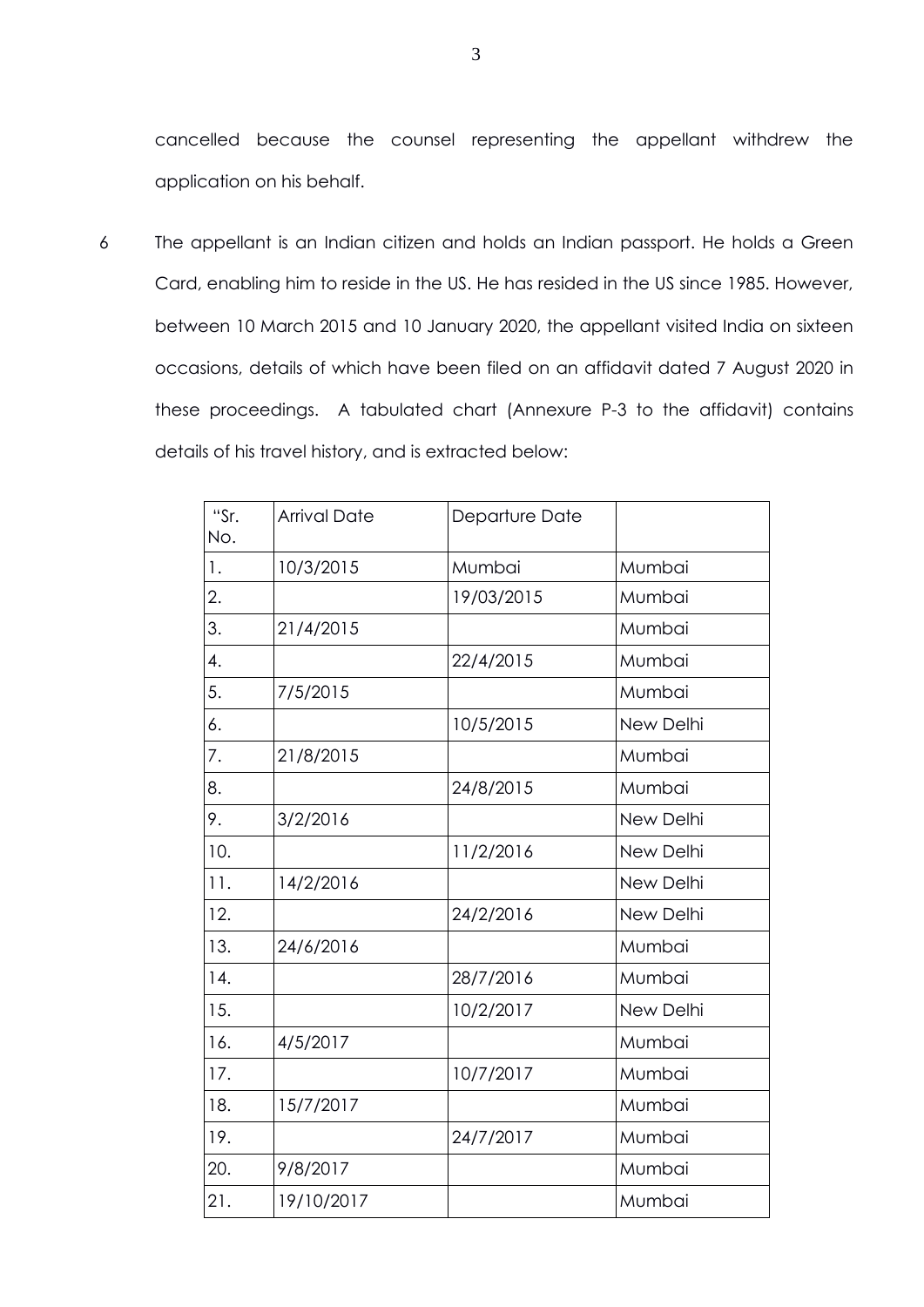cancelled because the counsel representing the appellant withdrew the application on his behalf.

6 The appellant is an Indian citizen and holds an Indian passport. He holds a Green Card, enabling him to reside in the US. He has resided in the US since 1985. However, between 10 March 2015 and 10 January 2020, the appellant visited India on sixteen occasions, details of which have been filed on an affidavit dated 7 August 2020 in these proceedings. A tabulated chart (Annexure P-3 to the affidavit) contains details of his travel history, and is extracted below:

| "Sr.<br>No. | <b>Arrival Date</b> | Departure Date |           |
|-------------|---------------------|----------------|-----------|
| 1.          | 10/3/2015           | Mumbai         | Mumbai    |
| 2.          |                     | 19/03/2015     | Mumbai    |
| 3.          | 21/4/2015           |                | Mumbai    |
| 4.          |                     | 22/4/2015      | Mumbai    |
| 5.          | 7/5/2015            |                | Mumbai    |
| 6.          |                     | 10/5/2015      | New Delhi |
| 7.          | 21/8/2015           |                | Mumbai    |
| 8.          |                     | 24/8/2015      | Mumbai    |
| 9.          | 3/2/2016            |                | New Delhi |
| 10.         |                     | 11/2/2016      | New Delhi |
| 11.         | 14/2/2016           |                | New Delhi |
| 12.         |                     | 24/2/2016      | New Delhi |
| 13.         | 24/6/2016           |                | Mumbai    |
| 14.         |                     | 28/7/2016      | Mumbai    |
| 15.         |                     | 10/2/2017      | New Delhi |
| 16.         | 4/5/2017            |                | Mumbai    |
| 17.         |                     | 10/7/2017      | Mumbai    |
| 18.         | 15/7/2017           |                | Mumbai    |
| 19.         |                     | 24/7/2017      | Mumbai    |
| 20.         | 9/8/2017            |                | Mumbai    |
| 21.         | 19/10/2017          |                | Mumbai    |
|             |                     |                |           |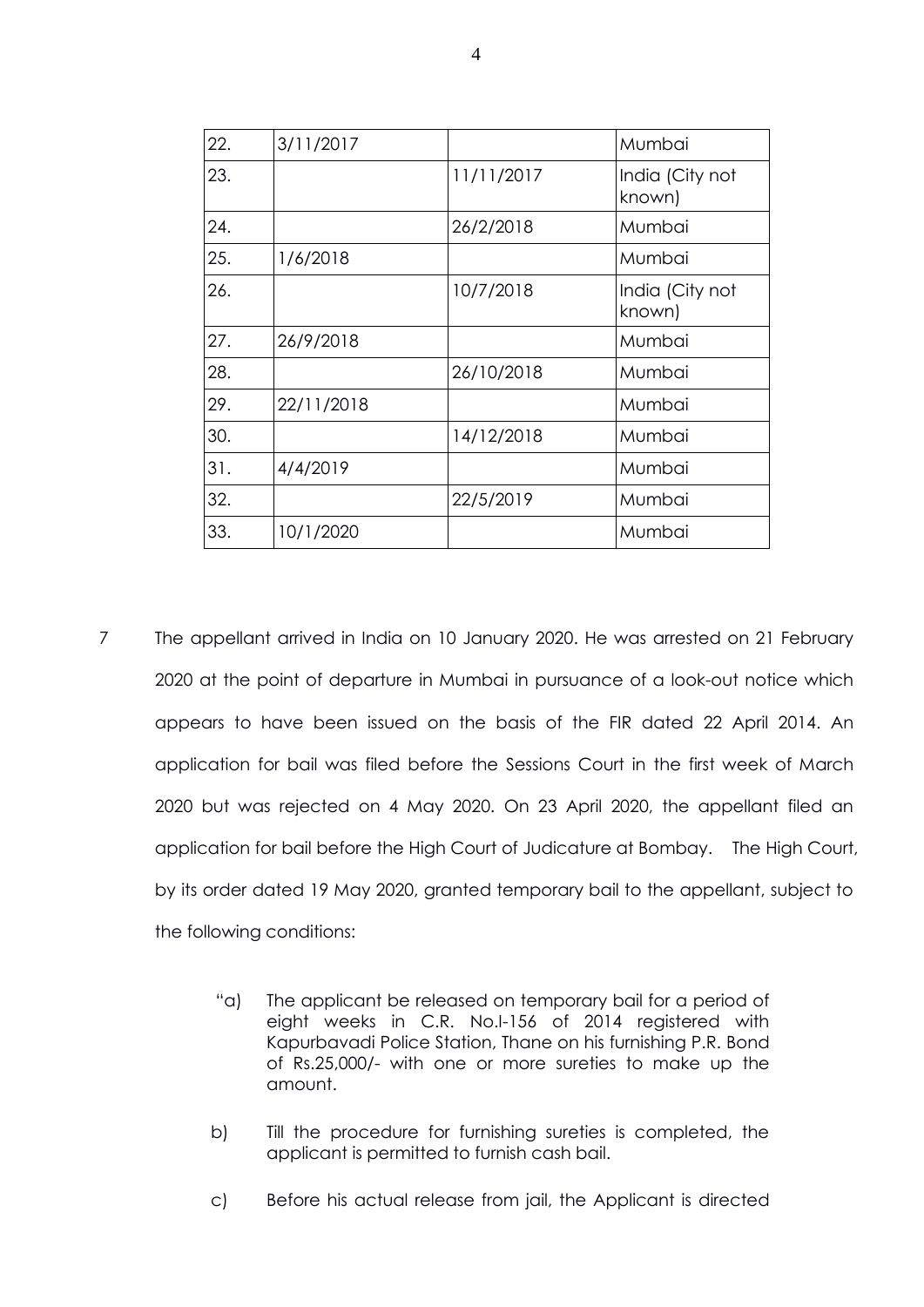| 22. | 3/11/2017  |            | Mumbai                    |
|-----|------------|------------|---------------------------|
|     |            |            |                           |
| 23. |            | 11/11/2017 | India (City not<br>known) |
| 24. |            | 26/2/2018  | Mumbai                    |
| 25. | 1/6/2018   |            | Mumbai                    |
| 26. |            | 10/7/2018  | India (City not<br>known) |
| 27. | 26/9/2018  |            | Mumbai                    |
| 28. |            | 26/10/2018 | Mumbai                    |
| 29. | 22/11/2018 |            | Mumbai                    |
| 30. |            | 14/12/2018 | Mumbai                    |
| 31. | 4/4/2019   |            | Mumbai                    |
| 32. |            | 22/5/2019  | Mumbai                    |
| 33. | 10/1/2020  |            | Mumbai                    |

- 7 The appellant arrived in India on 10 January 2020. He was arrested on 21 February 2020 at the point of departure in Mumbai in pursuance of a look-out notice which appears to have been issued on the basis of the FIR dated 22 April 2014. An application for bail was filed before the Sessions Court in the first week of March 2020 but was rejected on 4 May 2020. On 23 April 2020, the appellant filed an application for bail before the High Court of Judicature at Bombay. The High Court, by its order dated 19 May 2020, granted temporary bail to the appellant, subject to the following conditions:
	- "a) The applicant be released on temporary bail for a period of eight weeks in C.R. No.I-156 of 2014 registered with Kapurbavadi Police Station, Thane on his furnishing P.R. Bond of Rs.25,000/- with one or more sureties to make up the amount.
	- b) Till the procedure for furnishing sureties is completed, the applicant is permitted to furnish cash bail.
	- c) Before his actual release from jail, the Applicant is directed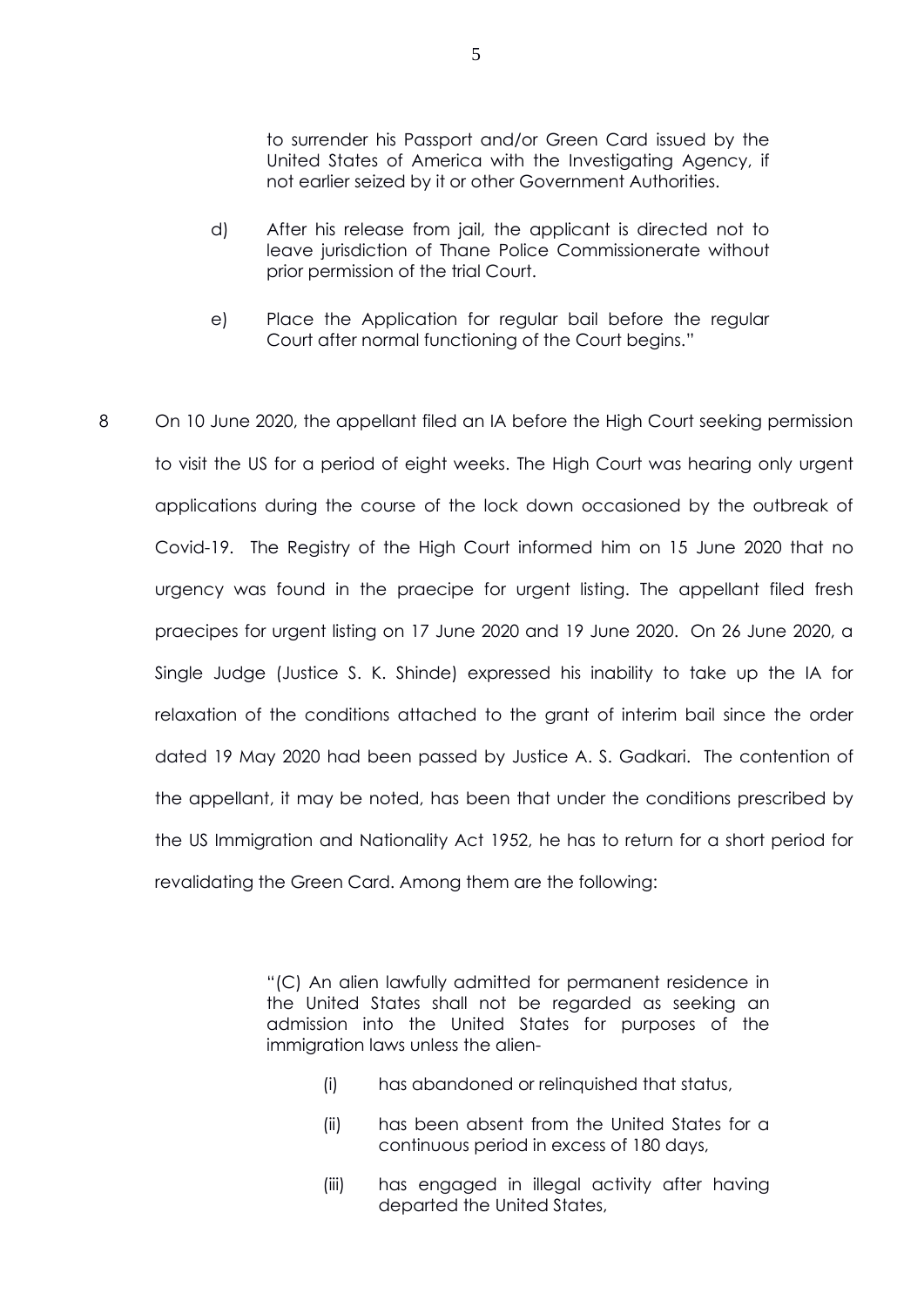to surrender his Passport and/or Green Card issued by the United States of America with the Investigating Agency, if not earlier seized by it or other Government Authorities.

- d) After his release from jail, the applicant is directed not to leave jurisdiction of Thane Police Commissionerate without prior permission of the trial Court.
- e) Place the Application for regular bail before the regular Court after normal functioning of the Court begins."
- 8 On 10 June 2020, the appellant filed an IA before the High Court seeking permission to visit the US for a period of eight weeks. The High Court was hearing only urgent applications during the course of the lock down occasioned by the outbreak of Covid-19. The Registry of the High Court informed him on 15 June 2020 that no urgency was found in the praecipe for urgent listing. The appellant filed fresh praecipes for urgent listing on 17 June 2020 and 19 June 2020. On 26 June 2020, a Single Judge (Justice S. K. Shinde) expressed his inability to take up the IA for relaxation of the conditions attached to the grant of interim bail since the order dated 19 May 2020 had been passed by Justice A. S. Gadkari. The contention of the appellant, it may be noted, has been that under the conditions prescribed by the US Immigration and Nationality Act 1952, he has to return for a short period for revalidating the Green Card. Among them are the following:

"(C) An alien lawfully admitted for permanent residence in the United States shall not be regarded as seeking an admission into the United States for purposes of the immigration laws unless the alien-

- (i) has abandoned or relinquished that status,
- (ii) has been absent from the United States for a continuous period in excess of 180 days,
- (iii) has engaged in illegal activity after having departed the United States,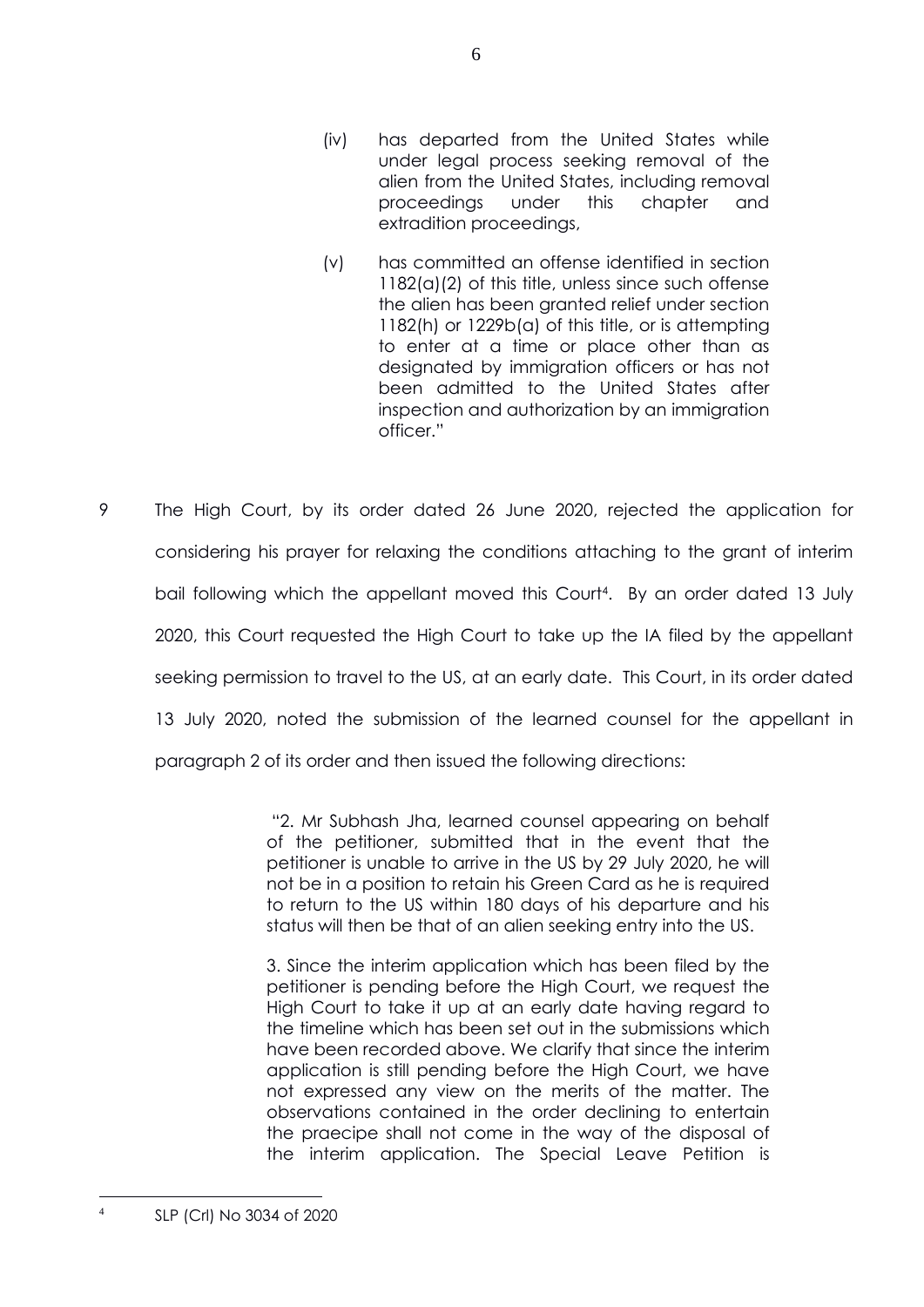- (iv) has departed from the United States while under legal process seeking removal of the alien from the United States, including removal proceedings under this chapter and extradition proceedings,
- (v) has committed an offense identified in section 1182(a)(2) of this title, unless since such offense the alien has been granted relief under section 1182(h) or 1229b(a) of this title, or is attempting to enter at a time or place other than as designated by immigration officers or has not been admitted to the United States after inspection and authorization by an immigration officer."
- 9 The High Court, by its order dated 26 June 2020, rejected the application for considering his prayer for relaxing the conditions attaching to the grant of interim bail following which the appellant moved this Court<sup>4</sup>. By an order dated 13 July 2020, this Court requested the High Court to take up the IA filed by the appellant seeking permission to travel to the US, at an early date. This Court, in its order dated 13 July 2020, noted the submission of the learned counsel for the appellant in paragraph 2 of its order and then issued the following directions:

"2. Mr Subhash Jha, learned counsel appearing on behalf of the petitioner, submitted that in the event that the petitioner is unable to arrive in the US by 29 July 2020, he will not be in a position to retain his Green Card as he is required to return to the US within 180 days of his departure and his status will then be that of an alien seeking entry into the US.

3. Since the interim application which has been filed by the petitioner is pending before the High Court, we request the High Court to take it up at an early date having regard to the timeline which has been set out in the submissions which have been recorded above. We clarify that since the interim application is still pending before the High Court, we have not expressed any view on the merits of the matter. The observations contained in the order declining to entertain the praecipe shall not come in the way of the disposal of the interim application. The Special Leave Petition is

<sup>4</sup> SLP (Crl) No 3034 of 2020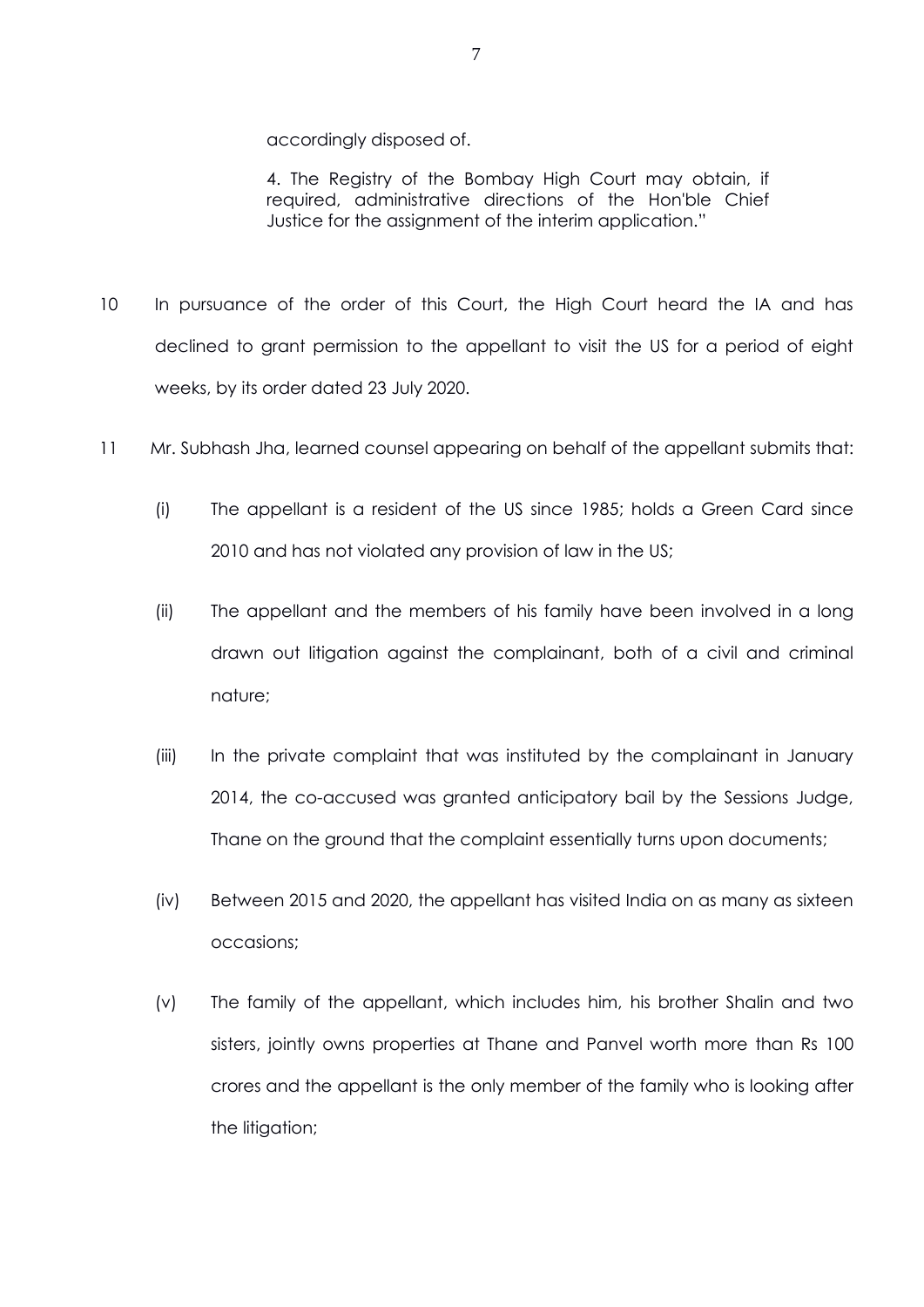accordingly disposed of.

4. The Registry of the Bombay High Court may obtain, if required, administrative directions of the Hon'ble Chief Justice for the assignment of the interim application."

- 10 In pursuance of the order of this Court, the High Court heard the IA and has declined to grant permission to the appellant to visit the US for a period of eight weeks, by its order dated 23 July 2020.
- 11 Mr. Subhash Jha, learned counsel appearing on behalf of the appellant submits that:
	- (i) The appellant is a resident of the US since 1985; holds a Green Card since 2010 and has not violated any provision of law in the US;
	- (ii) The appellant and the members of his family have been involved in a long drawn out litigation against the complainant, both of a civil and criminal nature;
	- (iii) In the private complaint that was instituted by the complainant in January 2014, the co-accused was granted anticipatory bail by the Sessions Judge, Thane on the ground that the complaint essentially turns upon documents;
	- (iv) Between 2015 and 2020, the appellant has visited India on as many as sixteen occasions;
	- (v) The family of the appellant, which includes him, his brother Shalin and two sisters, jointly owns properties at Thane and Panvel worth more than Rs 100 crores and the appellant is the only member of the family who is looking after the litigation;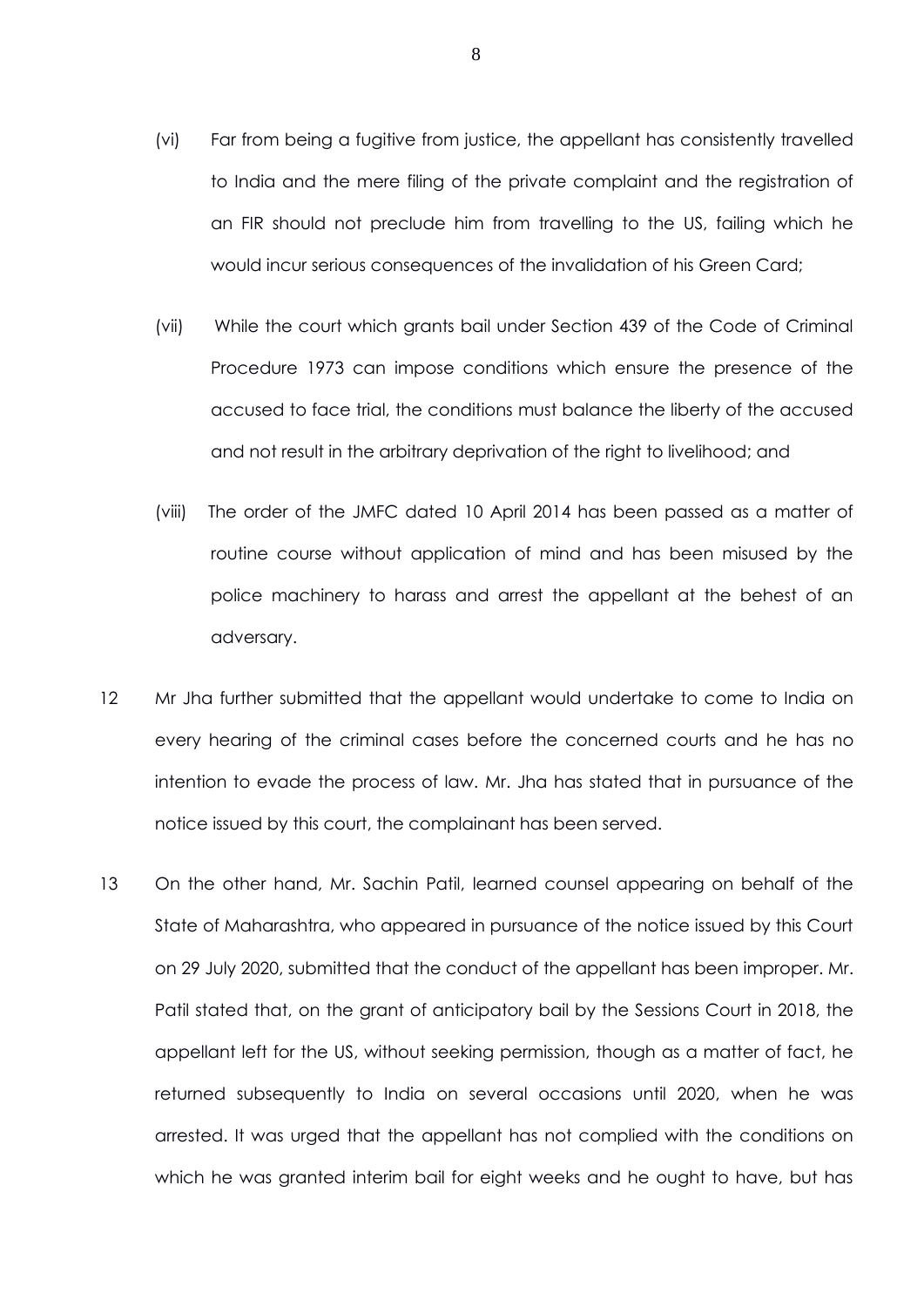- (vi) Far from being a fugitive from justice, the appellant has consistently travelled to India and the mere filing of the private complaint and the registration of an FIR should not preclude him from travelling to the US, failing which he would incur serious consequences of the invalidation of his Green Card;
- (vii) While the court which grants bail under Section 439 of the Code of Criminal Procedure 1973 can impose conditions which ensure the presence of the accused to face trial, the conditions must balance the liberty of the accused and not result in the arbitrary deprivation of the right to livelihood; and
- (viii) The order of the JMFC dated 10 April 2014 has been passed as a matter of routine course without application of mind and has been misused by the police machinery to harass and arrest the appellant at the behest of an adversary.
- 12 Mr Jha further submitted that the appellant would undertake to come to India on every hearing of the criminal cases before the concerned courts and he has no intention to evade the process of law. Mr. Jha has stated that in pursuance of the notice issued by this court, the complainant has been served.
- 13 On the other hand, Mr. Sachin Patil, learned counsel appearing on behalf of the State of Maharashtra, who appeared in pursuance of the notice issued by this Court on 29 July 2020, submitted that the conduct of the appellant has been improper. Mr. Patil stated that, on the grant of anticipatory bail by the Sessions Court in 2018, the appellant left for the US, without seeking permission, though as a matter of fact, he returned subsequently to India on several occasions until 2020, when he was arrested. It was urged that the appellant has not complied with the conditions on which he was granted interim bail for eight weeks and he ought to have, but has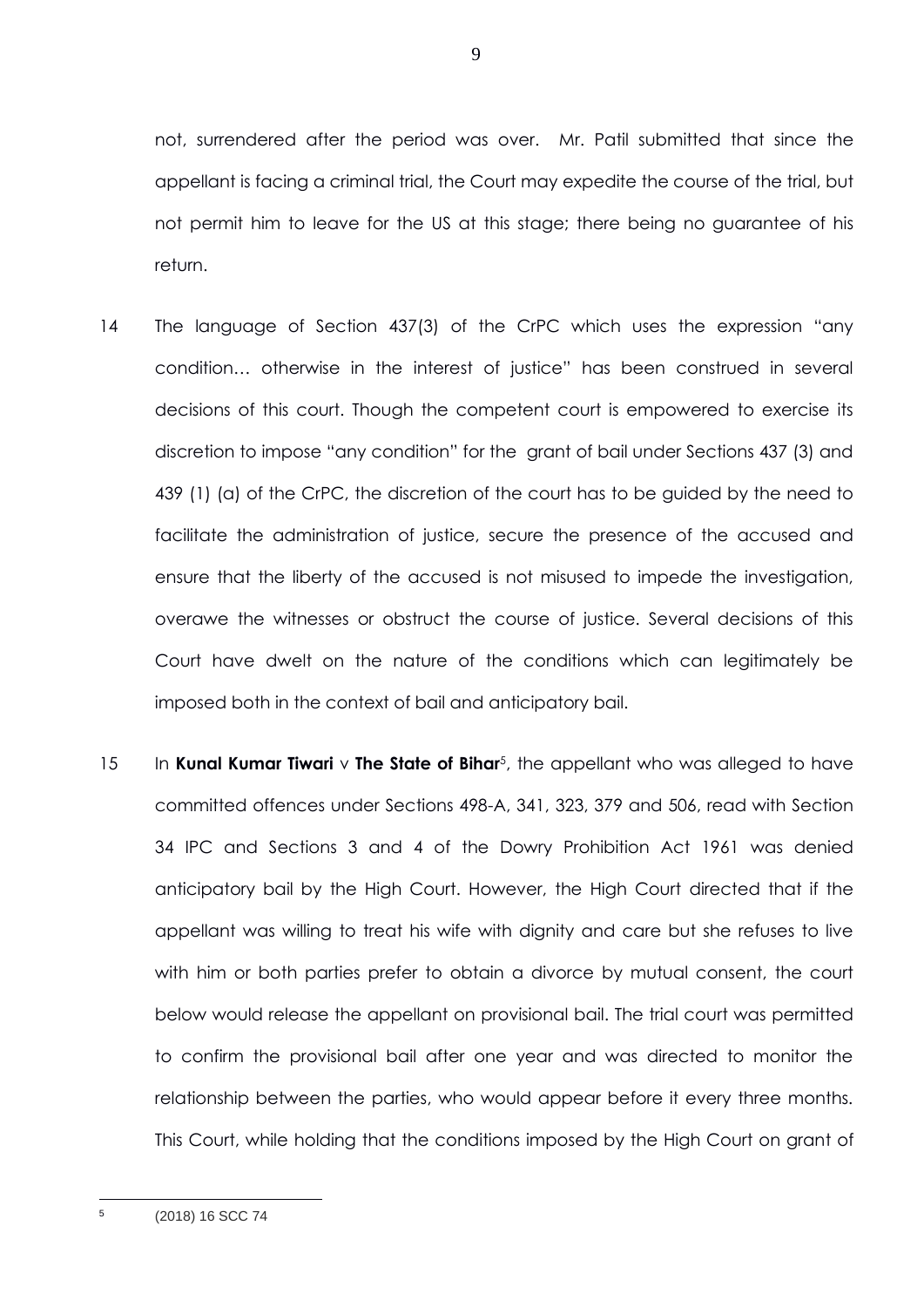not, surrendered after the period was over. Mr. Patil submitted that since the appellant is facing a criminal trial, the Court may expedite the course of the trial, but not permit him to leave for the US at this stage; there being no guarantee of his return.

- 14 The language of Section 437(3) of the CrPC which uses the expression "any condition… otherwise in the interest of justice" has been construed in several decisions of this court. Though the competent court is empowered to exercise its discretion to impose "any condition" for the grant of bail under Sections 437 (3) and 439 (1) (a) of the CrPC, the discretion of the court has to be guided by the need to facilitate the administration of justice, secure the presence of the accused and ensure that the liberty of the accused is not misused to impede the investigation, overawe the witnesses or obstruct the course of justice. Several decisions of this Court have dwelt on the nature of the conditions which can legitimately be imposed both in the context of bail and anticipatory bail.
- 15 In **Kunal Kumar Tiwari** v **The State of Bihar**<sup>5</sup>, the appellant who was alleged to have committed offences under Sections 498-A, 341, 323, 379 and 506, read with Section 34 IPC and Sections 3 and 4 of the Dowry Prohibition Act 1961 was denied anticipatory bail by the High Court. However, the High Court directed that if the appellant was willing to treat his wife with dignity and care but she refuses to live with him or both parties prefer to obtain a divorce by mutual consent, the court below would release the appellant on provisional bail. The trial court was permitted to confirm the provisional bail after one year and was directed to monitor the relationship between the parties, who would appear before it every three months. This Court, while holding that the conditions imposed by the High Court on grant of

9

<sup>(2018) 16</sup> SCC 74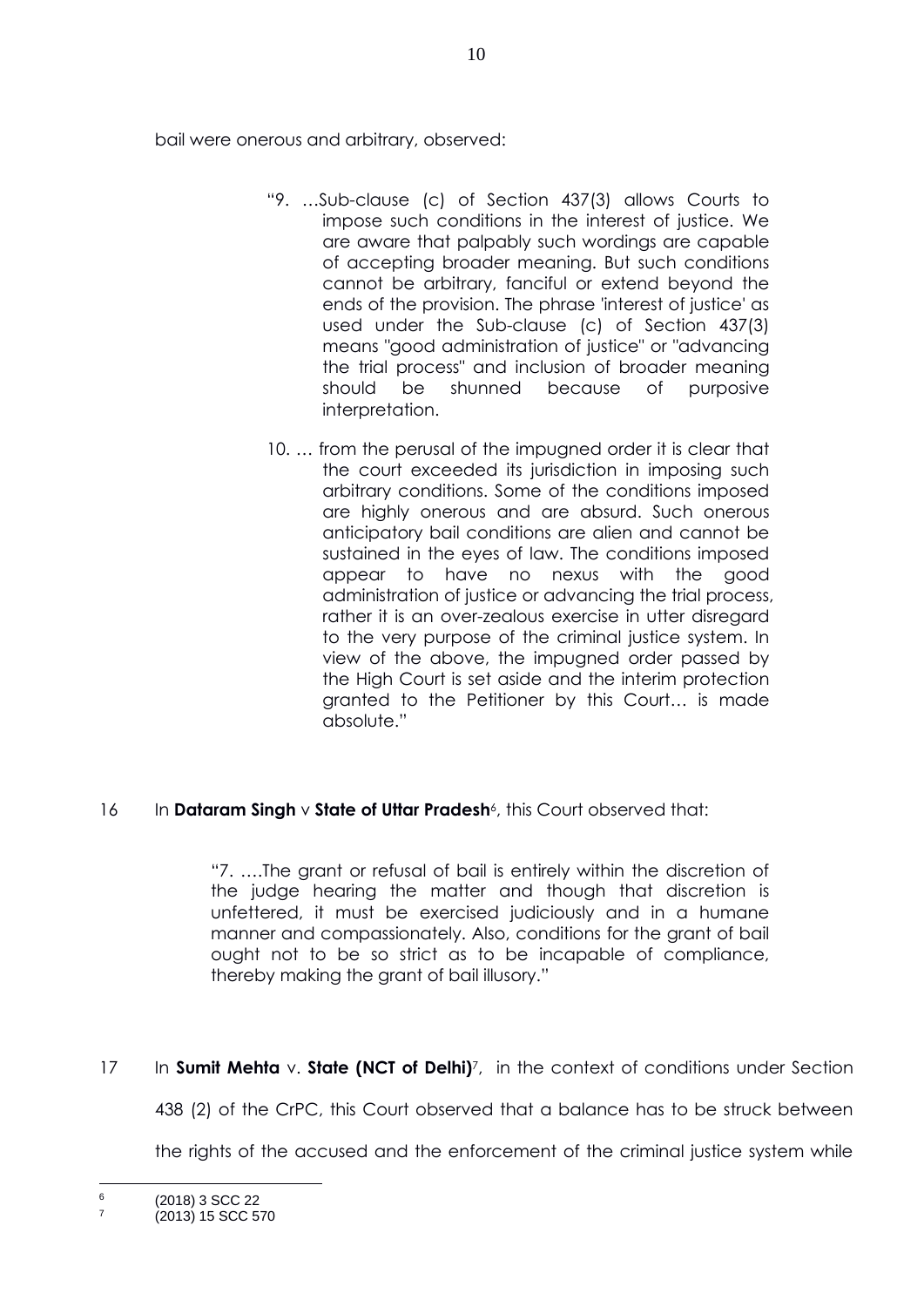bail were onerous and arbitrary, observed:

- "9. …Sub-clause (c) of Section 437(3) allows Courts to impose such conditions in the interest of justice. We are aware that palpably such wordings are capable of accepting broader meaning. But such conditions cannot be arbitrary, fanciful or extend beyond the ends of the provision. The phrase 'interest of justice' as used under the Sub-clause (c) of Section 437(3) means "good administration of justice" or "advancing the trial process" and inclusion of broader meaning should be shunned because of purposive interpretation.
- 10. … from the perusal of the impugned order it is clear that the court exceeded its jurisdiction in imposing such arbitrary conditions. Some of the conditions imposed are highly onerous and are absurd. Such onerous anticipatory bail conditions are alien and cannot be sustained in the eyes of law. The conditions imposed appear to have no nexus with the good administration of justice or advancing the trial process, rather it is an over-zealous exercise in utter disregard to the very purpose of the criminal justice system. In view of the above, the impugned order passed by the High Court is set aside and the interim protection granted to the Petitioner by this Court… is made absolute."

## 16 In Dataram Singh v State of Uttar Pradesh<sup>6</sup>, this Court observed that:

"7. ….The grant or refusal of bail is entirely within the discretion of the judge hearing the matter and though that discretion is unfettered, it must be exercised judiciously and in a humane manner and compassionately. Also, conditions for the grant of bail ought not to be so strict as to be incapable of compliance, thereby making the grant of bail illusory."

17 In **Sumit Mehta** v. **State (NCT of Delhi)**<sup>7</sup>, in the context of conditions under Section

438 (2) of the CrPC, this Court observed that a balance has to be struck between

the rights of the accused and the enforcement of the criminal justice system while

<sup>6</sup> (2018) 3 SCC 22 7

<sup>(2013) 15</sup> SCC 570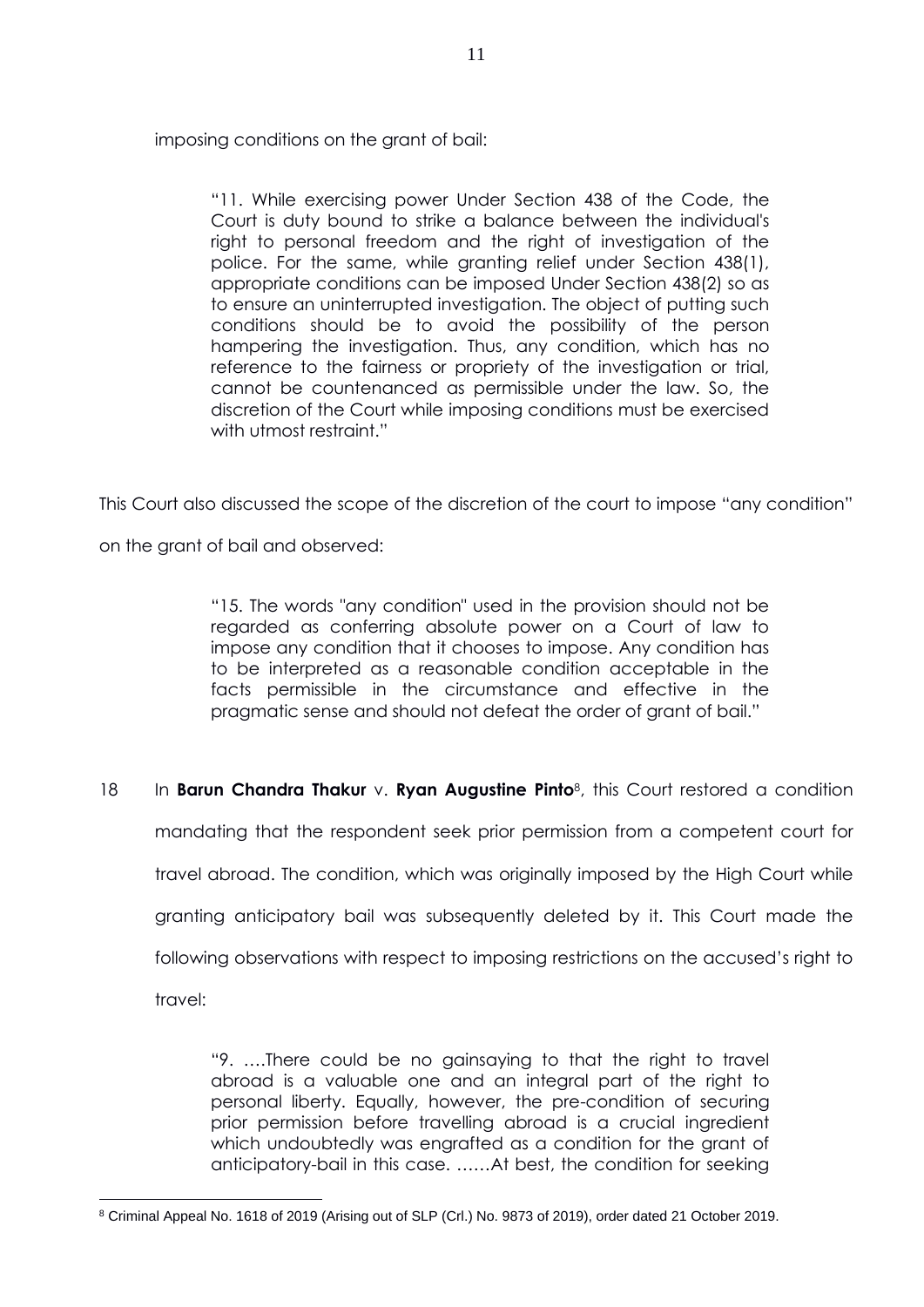imposing conditions on the grant of bail:

"11. While exercising power Under Section 438 of the Code, the Court is duty bound to strike a balance between the individual's right to personal freedom and the right of investigation of the police. For the same, while granting relief under Section 438(1), appropriate conditions can be imposed Under Section 438(2) so as to ensure an uninterrupted investigation. The object of putting such conditions should be to avoid the possibility of the person hampering the investigation. Thus, any condition, which has no reference to the fairness or propriety of the investigation or trial, cannot be countenanced as permissible under the law. So, the discretion of the Court while imposing conditions must be exercised with utmost restraint."

This Court also discussed the scope of the discretion of the court to impose "any condition"

on the grant of bail and observed:

"15. The words "any condition" used in the provision should not be regarded as conferring absolute power on a Court of law to impose any condition that it chooses to impose. Any condition has to be interpreted as a reasonable condition acceptable in the facts permissible in the circumstance and effective in the pragmatic sense and should not defeat the order of grant of bail."

18 In **Barun Chandra Thakur** v. **Ryan Augustine Pinto**<sup>8</sup> , this Court restored a condition mandating that the respondent seek prior permission from a competent court for travel abroad. The condition, which was originally imposed by the High Court while granting anticipatory bail was subsequently deleted by it. This Court made the following observations with respect to imposing restrictions on the accused's right to travel:

> "9. ….There could be no gainsaying to that the right to travel abroad is a valuable one and an integral part of the right to personal liberty. Equally, however, the pre-condition of securing prior permission before travelling abroad is a crucial ingredient which undoubtedly was engrafted as a condition for the grant of anticipatory-bail in this case. ……At best, the condition for seeking

<sup>8</sup> Criminal Appeal No. 1618 of 2019 (Arising out of SLP (Crl.) No. 9873 of 2019), order dated 21 October 2019.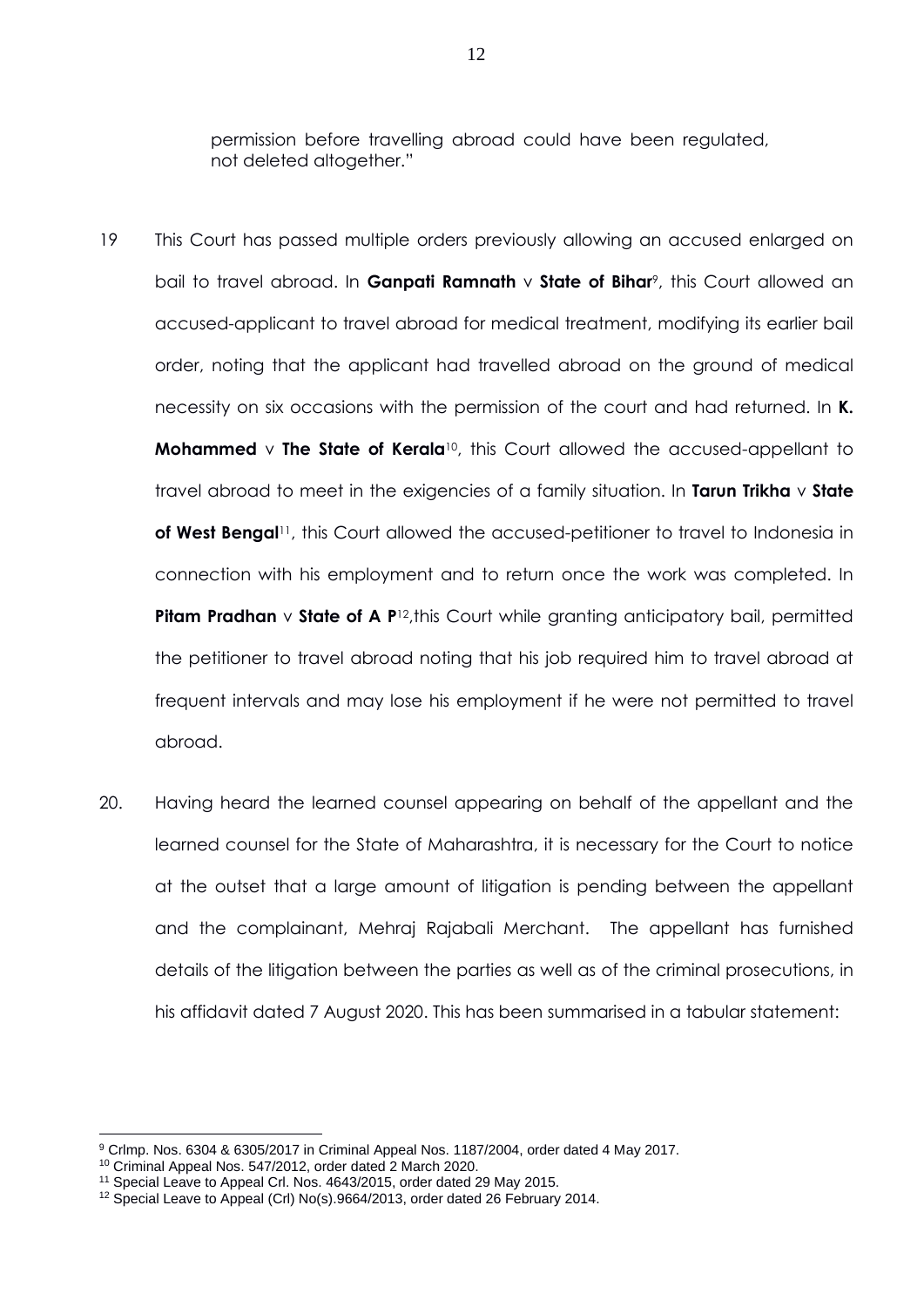permission before travelling abroad could have been regulated, not deleted altogether."

- 19 This Court has passed multiple orders previously allowing an accused enlarged on bail to travel abroad. In **Ganpati Ramnath** v **State of Bihar**<sup>9</sup>, this Court allowed an accused-applicant to travel abroad for medical treatment, modifying its earlier bail order, noting that the applicant had travelled abroad on the ground of medical necessity on six occasions with the permission of the court and had returned. In **K. Mohammed v The State of Kerala<sup>10</sup>**, this Court allowed the accused-appellant to travel abroad to meet in the exigencies of a family situation. In **Tarun Trikha** v **State**  of West Bengal<sup>11</sup>, this Court allowed the accused-petitioner to travel to Indonesia in connection with his employment and to return once the work was completed. In **Pitam Pradhan v State of A P<sup>12</sup>, this Court while granting anticipatory bail, permitted** the petitioner to travel abroad noting that his job required him to travel abroad at frequent intervals and may lose his employment if he were not permitted to travel abroad.
- 20. Having heard the learned counsel appearing on behalf of the appellant and the learned counsel for the State of Maharashtra, it is necessary for the Court to notice at the outset that a large amount of litigation is pending between the appellant and the complainant, Mehraj Rajabali Merchant. The appellant has furnished details of the litigation between the parties as well as of the criminal prosecutions, in his affidavit dated 7 August 2020. This has been summarised in a tabular statement:

<sup>9</sup> Crlmp. Nos. 6304 & 6305/2017 in Criminal Appeal Nos. 1187/2004, order dated 4 May 2017.

<sup>10</sup> Criminal Appeal Nos. 547/2012, order dated 2 March 2020.

<sup>11</sup> Special Leave to Appeal Crl. Nos. 4643/2015, order dated 29 May 2015.

<sup>12</sup> Special Leave to Appeal (Crl) No(s).9664/2013, order dated 26 February 2014.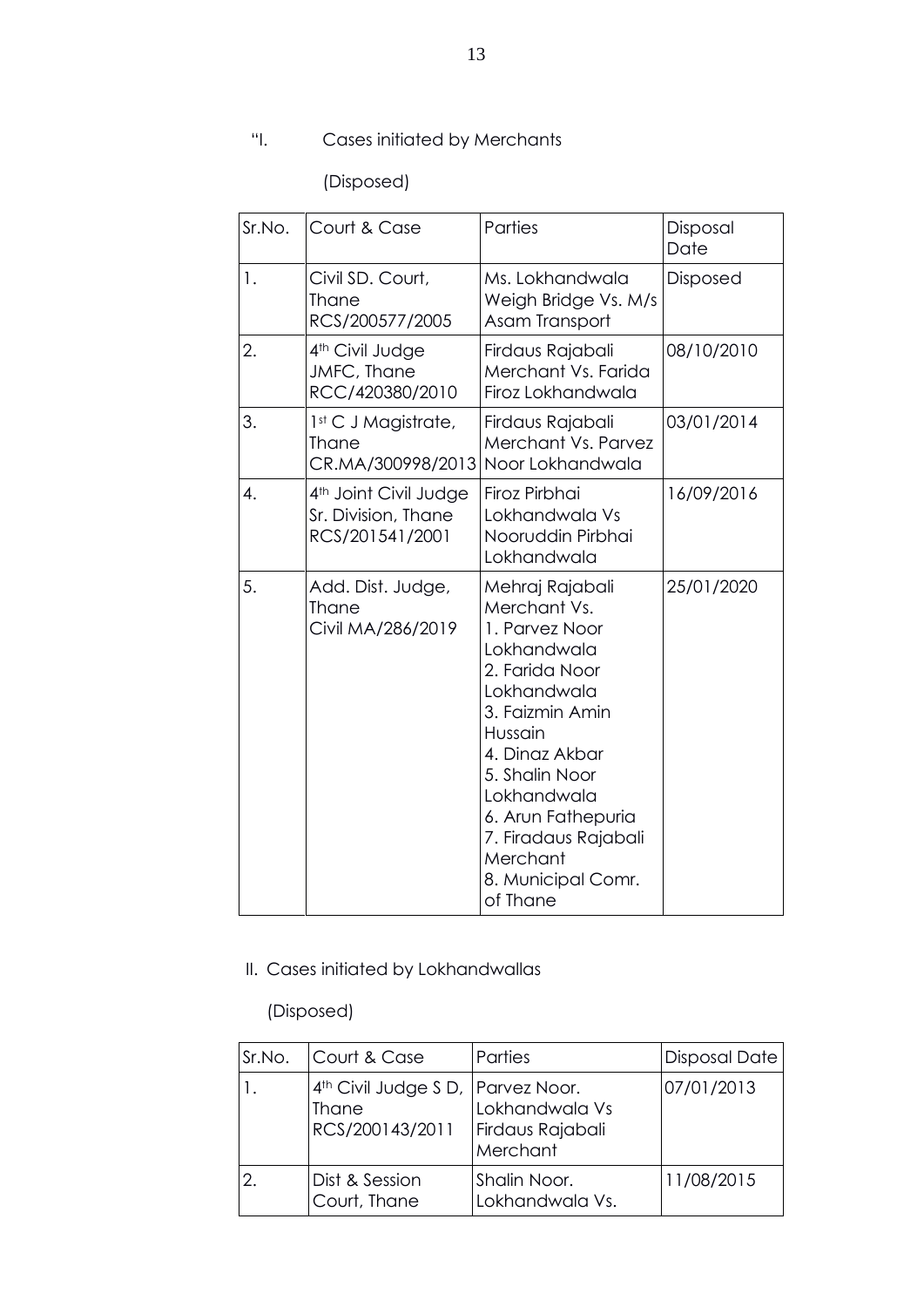# "I. Cases initiated by Merchants

(Disposed)

| Sr.No. | Court & Case                                                                | Parties                                                                                                                                                                                                                                                                        | Disposal<br>Date |
|--------|-----------------------------------------------------------------------------|--------------------------------------------------------------------------------------------------------------------------------------------------------------------------------------------------------------------------------------------------------------------------------|------------------|
| 1.     | Civil SD. Court,<br>Thane<br>RCS/200577/2005                                | Ms. Lokhandwala<br>Weigh Bridge Vs. M/s<br>Asam Transport                                                                                                                                                                                                                      | <b>Disposed</b>  |
| 2.     | 4 <sup>th</sup> Civil Judge<br>JMFC, Thane<br>RCC/420380/2010               | Firdaus Rajabali<br>Merchant Vs. Farida<br>Firoz Lokhandwala                                                                                                                                                                                                                   | 08/10/2010       |
| 3.     | 1st C J Magistrate,<br><b>Thane</b><br>CR.MA/300998/2013                    | Firdaus Rajabali<br>Merchant Vs. Parvez<br>Noor Lokhandwala                                                                                                                                                                                                                    | 03/01/2014       |
| 4.     | 4 <sup>th</sup> Joint Civil Judge<br>Sr. Division, Thane<br>RCS/201541/2001 | Firoz Pirbhai<br>Lokhandwala Vs<br>Nooruddin Pirbhai<br>Lokhandwala                                                                                                                                                                                                            | 16/09/2016       |
| 5.     | Add. Dist. Judge,<br>Thane<br>Civil MA/286/2019                             | Mehraj Rajabali<br>Merchant Vs.<br>1. Parvez Noor<br>Lokhandwala<br>2. Farida Noor<br>Lokhandwala<br>3. Faizmin Amin<br>Hussain<br>4. Dinaz Akbar<br>5. Shalin Noor<br>Lokhandwala<br>6. Arun Fathepuria<br>7. Firadaus Rajabali<br>Merchant<br>8. Municipal Comr.<br>of Thane | 25/01/2020       |

II. Cases initiated by Lokhandwallas

(Disposed)

| Sr.No. | Court & Case                                                              | Parties                                        | Disposal Date |
|--------|---------------------------------------------------------------------------|------------------------------------------------|---------------|
|        | 4 <sup>th</sup> Civil Judge S D, Parvez Noor.<br>Thane<br>RCS/200143/2011 | Lokhandwala Vs<br>Firdaus Rajabali<br>Merchant | 07/01/2013    |
|        | Dist & Session<br>Court, Thane                                            | Shalin Noor.<br>Lokhandwala Vs.                | 11/08/2015    |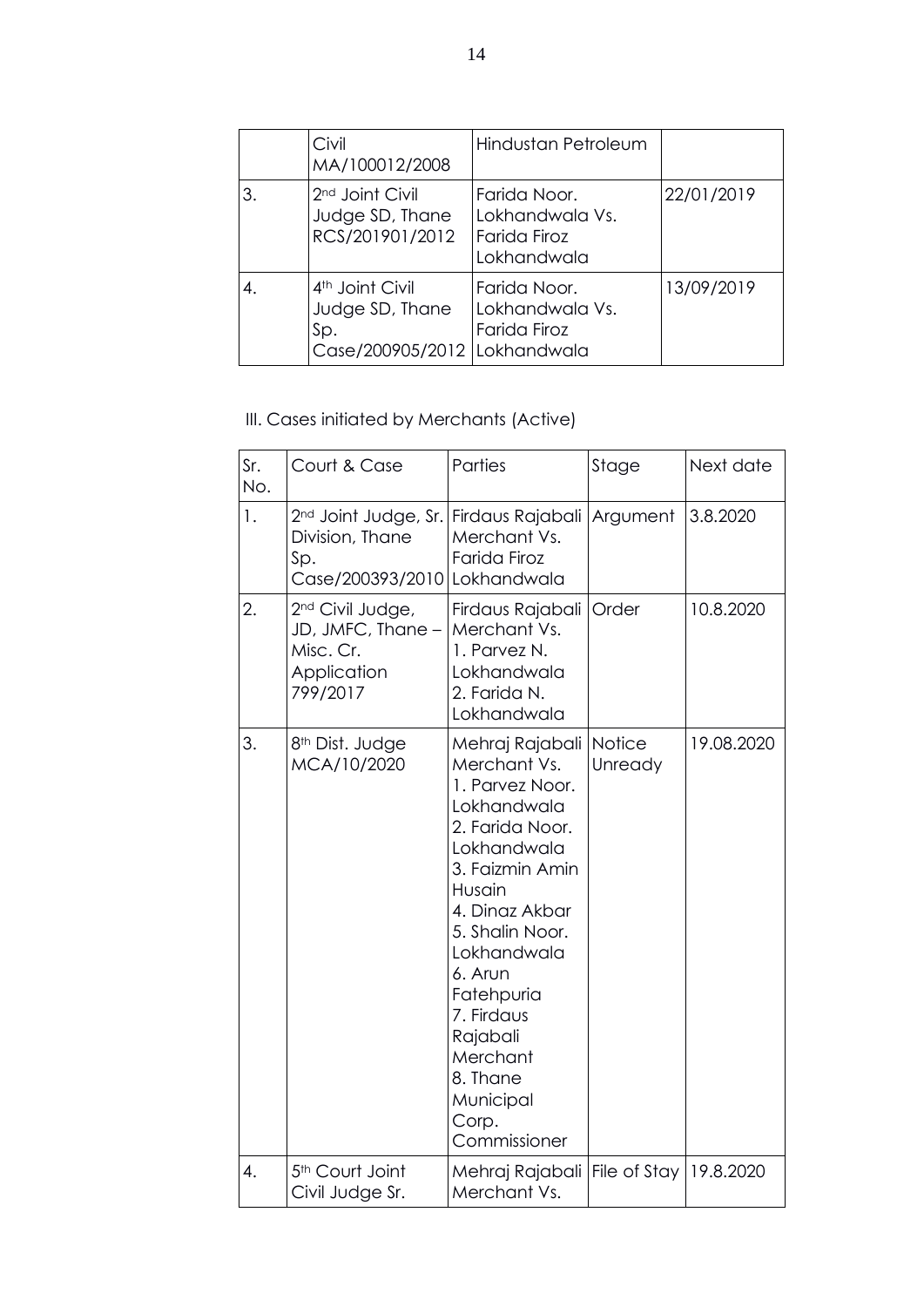|    | Civil<br>MA/100012/2008                                                                 | Hindustan Petroleum                                            |            |
|----|-----------------------------------------------------------------------------------------|----------------------------------------------------------------|------------|
| З. | 2 <sup>nd</sup> Joint Civil<br>Judge SD, Thane<br>RCS/201901/2012                       | Farida Noor.<br>Lokhandwala Vs.<br>Farida Firoz<br>Lokhandwala | 22/01/2019 |
| 4. | 4 <sup>th</sup> Joint Civil<br>Judge SD, Thane<br>Sp.<br>Case/200905/2012   Lokhandwala | Farida Noor.<br>Lokhandwala Vs.<br>Farida Firoz                | 13/09/2019 |

III. Cases initiated by Merchants (Active)

| Sr.<br>No. | Court & Case                                                                               | Parties                                                                                                                                                                                                                                                                                               | Stage                    | Next date  |
|------------|--------------------------------------------------------------------------------------------|-------------------------------------------------------------------------------------------------------------------------------------------------------------------------------------------------------------------------------------------------------------------------------------------------------|--------------------------|------------|
| 1.         | 2 <sup>nd</sup> Joint Judge, Sr.<br>Division, Thane<br>Sp.<br>Case/200393/2010 Lokhandwala | Firdaus Rajabali<br>Merchant Vs.<br>Farida Firoz                                                                                                                                                                                                                                                      | Argument                 | 3.8.2020   |
| 2.         | 2 <sup>nd</sup> Civil Judge,<br>JD, JMFC, Thane -<br>Misc. Cr.<br>Application<br>799/2017  | Firdaus Rajabali<br>Merchant Vs.<br>1. Parvez N.<br>Lokhandwala<br>2. Farida N.<br>Lokhandwala                                                                                                                                                                                                        | Order                    | 10.8.2020  |
| 3.         | 8 <sup>th</sup> Dist. Judge<br>MCA/10/2020                                                 | Mehraj Rajabali<br>Merchant Vs.<br>1. Parvez Noor.<br>Lokhandwala<br>2. Farida Noor.<br>Lokhandwala<br>3. Faizmin Amin<br>Husain<br>4. Dinaz Akbar<br>5. Shalin Noor.<br>Lokhandwala<br>6. Arun<br>Fatehpuria<br>7. Firdaus<br>Rajabali<br>Merchant<br>8. Thane<br>Municipal<br>Corp.<br>Commissioner | <b>Notice</b><br>Unready | 19.08.2020 |
| 4.         | 5 <sup>th</sup> Court Joint<br>Civil Judge Sr.                                             | Mehraj Rajabali<br>Merchant Vs.                                                                                                                                                                                                                                                                       | File of Stay             | 19.8.2020  |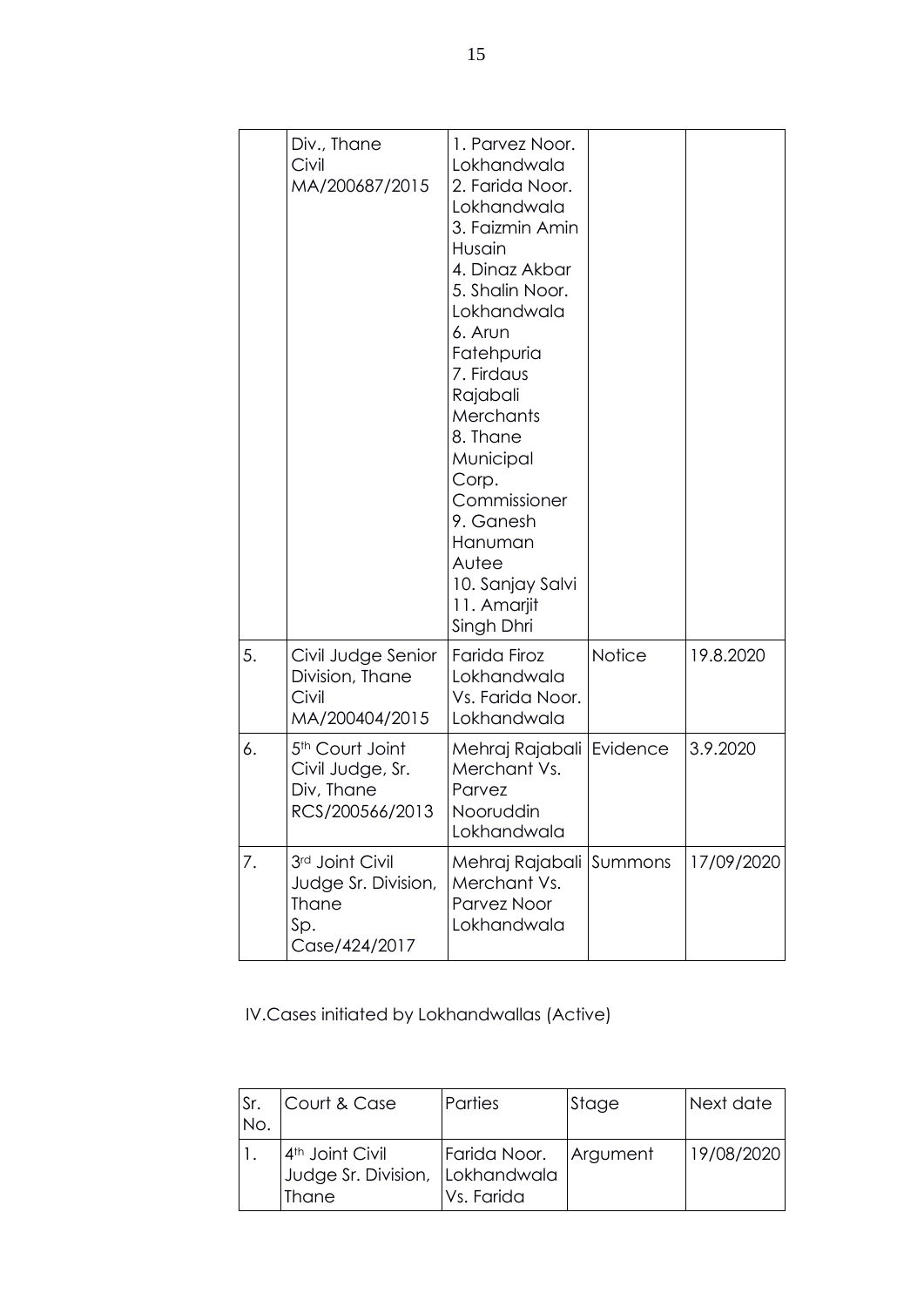|    | Div., Thane<br>Civil<br>MA/200687/2015                                           | 1. Parvez Noor.<br>Lokhandwala<br>2. Farida Noor.<br>Lokhandwala<br>3. Faizmin Amin<br>Husain<br>4. Dinaz Akbar<br>5. Shalin Noor.<br>Lokhandwala<br>6. Arun<br>Fatehpuria<br>7. Firdaus<br>Rajabali<br>Merchants<br>8. Thane<br>Municipal<br>Corp.<br>Commissioner<br>9. Ganesh<br>Hanuman<br>Autee<br>10. Sanjay Salvi<br>11. Amarjit<br>Singh Dhri |               |            |
|----|----------------------------------------------------------------------------------|-------------------------------------------------------------------------------------------------------------------------------------------------------------------------------------------------------------------------------------------------------------------------------------------------------------------------------------------------------|---------------|------------|
| 5. | Civil Judge Senior<br>Division, Thane<br>Civil<br>MA/200404/2015                 | Farida Firoz<br>Lokhandwala<br>Vs. Farida Noor.<br>Lokhandwala                                                                                                                                                                                                                                                                                        | <b>Notice</b> | 19.8.2020  |
| 6. | 5 <sup>th</sup> Court Joint<br>Civil Judge, Sr.<br>Div, Thane<br>RCS/200566/2013 | Mehraj Rajabali   Evidence<br>Merchant Vs.<br>Parvez<br>Nooruddin<br>Lokhandwala                                                                                                                                                                                                                                                                      |               | 3.9.2020   |
| 7. | 3rd Joint Civil<br>Judge Sr. Division,<br>Thane<br>Sp.<br>Case/424/2017          | Mehraj Rajabali<br>Merchant Vs.<br>Parvez Noor<br>Lokhandwala                                                                                                                                                                                                                                                                                         | Summons       | 17/09/2020 |

IV.Cases initiated by Lokhandwallas (Active)

| Sr.<br>No. | Court & Case                                      | Parties                                              | Stage | Next date  |
|------------|---------------------------------------------------|------------------------------------------------------|-------|------------|
|            | $4th$ Joint Civil<br>Judge Sr. Division,<br>Thane | Farida Noor.   Argument<br>Lokhandwala<br>Vs. Farida |       | 19/08/2020 |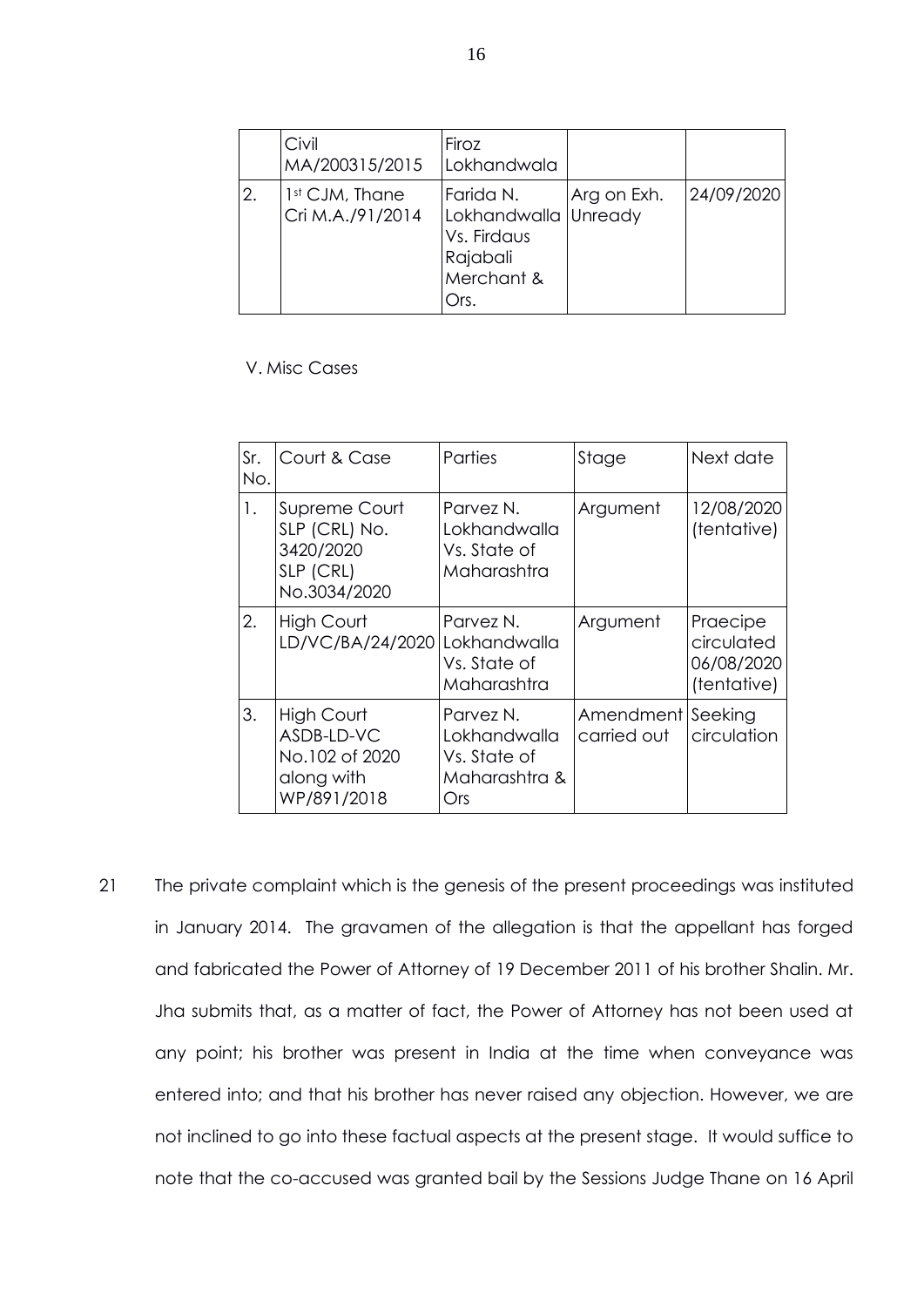|    | Civil<br>MA/200315/2015   Lokhandwala | Firoz                                                                              |             |            |
|----|---------------------------------------|------------------------------------------------------------------------------------|-------------|------------|
| 2. | 1st CJM, Thane<br>Cri M.A./91/2014    | Farida N.<br>Lokhandwalla Unready<br>Vs. Firdaus<br>Rajabali<br>Merchant &<br>Ors. | Arg on Exh. | 24/09/2020 |

V. Misc Cases

| Sr.<br>No. | Court & Case                                                             | Parties                                                           | Stage                    | Next date                                           |
|------------|--------------------------------------------------------------------------|-------------------------------------------------------------------|--------------------------|-----------------------------------------------------|
| 1.         | Supreme Court<br>SLP (CRL) No.<br>3420/2020<br>SLP (CRL)<br>No.3034/2020 | Parvez N.<br>Tokhandwalla<br>Vs. State of<br>Maharashtra          | Argument                 | 12/08/2020<br>(tentative)                           |
| 2.         | High Court<br>LD/VC/BA/24/2020 Lokhandwalla                              | Parvez N.<br>Vs. State of<br>Maharashtra                          | Argument                 | Praecipe<br>circulated<br>06/08/2020<br>(tentative) |
| 3.         | High Court<br>ASDB-LD-VC<br>No.102 of 2020<br>along with<br>WP/891/2018  | Parvez N.<br>Lokhandwalla<br>Vs. State of<br>Maharashtra &<br>Ors | Amendment<br>carried out | Seeking<br>circulation                              |

21 The private complaint which is the genesis of the present proceedings was instituted in January 2014. The gravamen of the allegation is that the appellant has forged and fabricated the Power of Attorney of 19 December 2011 of his brother Shalin. Mr. Jha submits that, as a matter of fact, the Power of Attorney has not been used at any point; his brother was present in India at the time when conveyance was entered into; and that his brother has never raised any objection. However, we are not inclined to go into these factual aspects at the present stage. It would suffice to note that the co-accused was granted bail by the Sessions Judge Thane on 16 April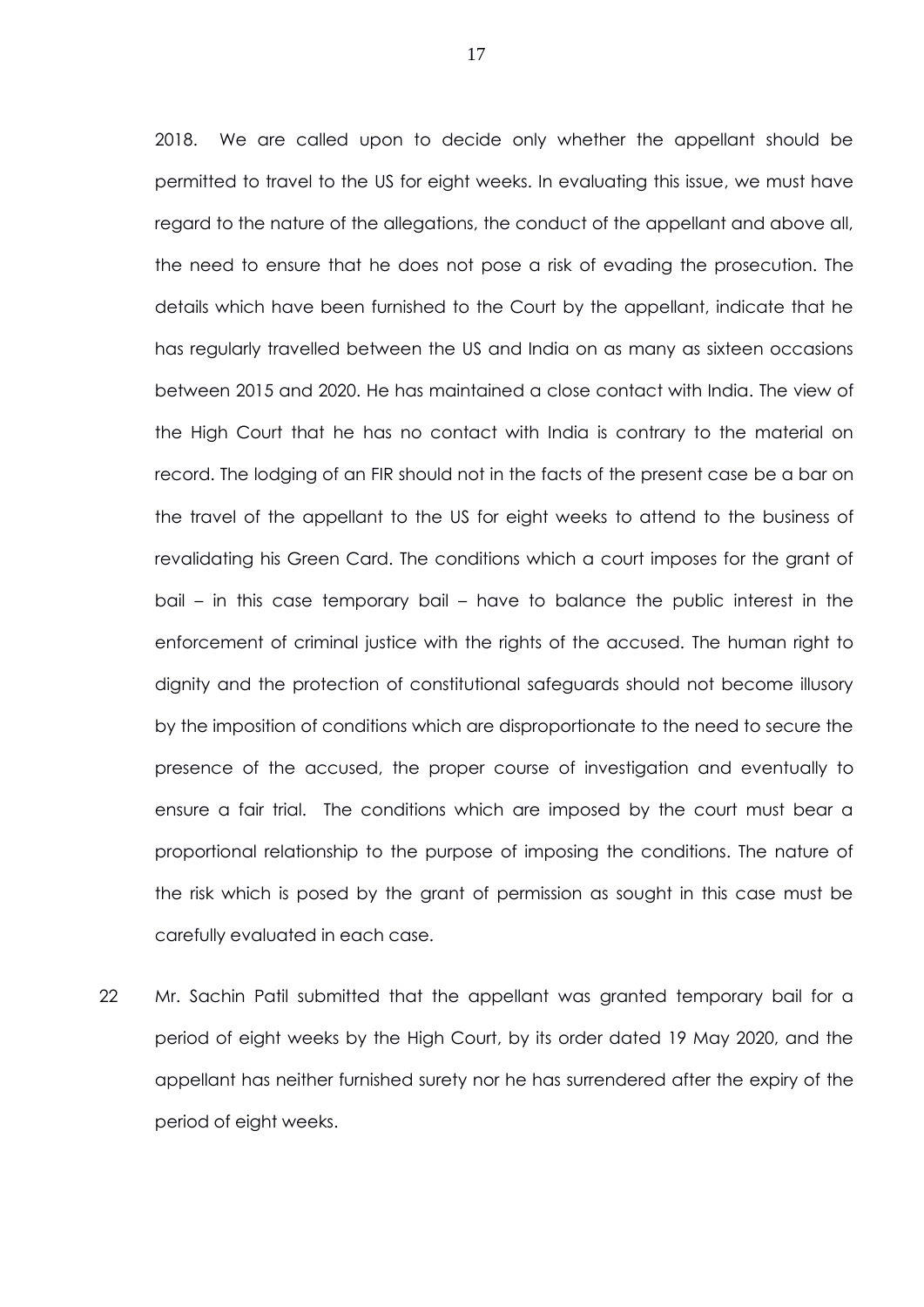2018. We are called upon to decide only whether the appellant should be permitted to travel to the US for eight weeks. In evaluating this issue, we must have regard to the nature of the allegations, the conduct of the appellant and above all, the need to ensure that he does not pose a risk of evading the prosecution. The details which have been furnished to the Court by the appellant, indicate that he has regularly travelled between the US and India on as many as sixteen occasions between 2015 and 2020. He has maintained a close contact with India. The view of the High Court that he has no contact with India is contrary to the material on record. The lodging of an FIR should not in the facts of the present case be a bar on the travel of the appellant to the US for eight weeks to attend to the business of revalidating his Green Card. The conditions which a court imposes for the grant of bail – in this case temporary bail – have to balance the public interest in the enforcement of criminal justice with the rights of the accused. The human right to dignity and the protection of constitutional safeguards should not become illusory by the imposition of conditions which are disproportionate to the need to secure the presence of the accused, the proper course of investigation and eventually to ensure a fair trial. The conditions which are imposed by the court must bear a proportional relationship to the purpose of imposing the conditions. The nature of the risk which is posed by the grant of permission as sought in this case must be carefully evaluated in each case.

22 Mr. Sachin Patil submitted that the appellant was granted temporary bail for a period of eight weeks by the High Court, by its order dated 19 May 2020, and the appellant has neither furnished surety nor he has surrendered after the expiry of the period of eight weeks.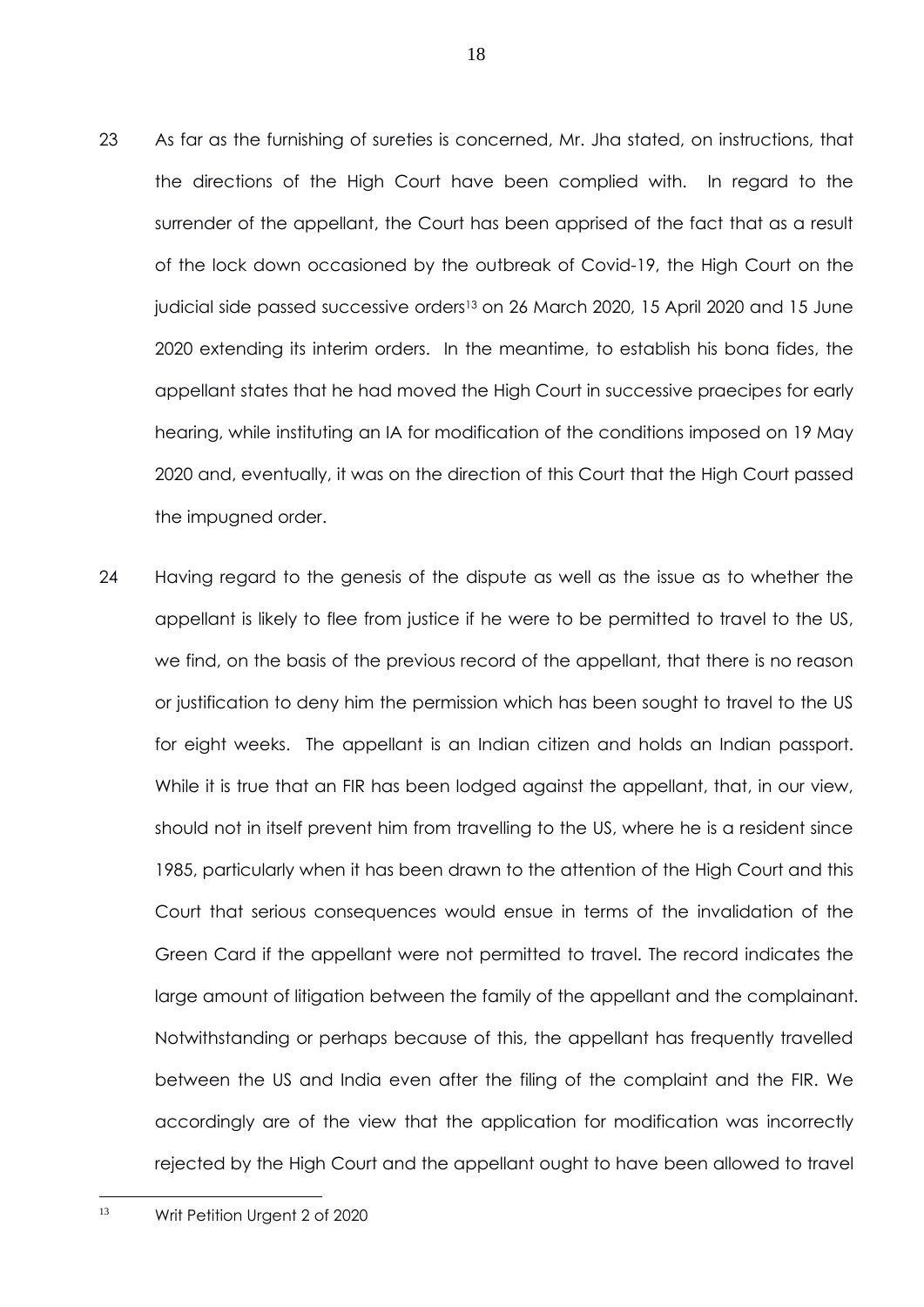- 23 As far as the furnishing of sureties is concerned, Mr. Jha stated, on instructions, that the directions of the High Court have been complied with. In regard to the surrender of the appellant, the Court has been apprised of the fact that as a result of the lock down occasioned by the outbreak of Covid-19, the High Court on the judicial side passed successive orders<sup>13</sup> on 26 March 2020, 15 April 2020 and 15 June 2020 extending its interim orders. In the meantime, to establish his bona fides, the appellant states that he had moved the High Court in successive praecipes for early hearing, while instituting an IA for modification of the conditions imposed on 19 May 2020 and, eventually, it was on the direction of this Court that the High Court passed the impugned order.
- 24 Having regard to the genesis of the dispute as well as the issue as to whether the appellant is likely to flee from justice if he were to be permitted to travel to the US, we find, on the basis of the previous record of the appellant, that there is no reason or justification to deny him the permission which has been sought to travel to the US for eight weeks. The appellant is an Indian citizen and holds an Indian passport. While it is true that an FIR has been lodged against the appellant, that, in our view, should not in itself prevent him from travelling to the US, where he is a resident since 1985, particularly when it has been drawn to the attention of the High Court and this Court that serious consequences would ensue in terms of the invalidation of the Green Card if the appellant were not permitted to travel. The record indicates the large amount of litigation between the family of the appellant and the complainant. Notwithstanding or perhaps because of this, the appellant has frequently travelled between the US and India even after the filing of the complaint and the FIR. We accordingly are of the view that the application for modification was incorrectly rejected by the High Court and the appellant ought to have been allowed to travel